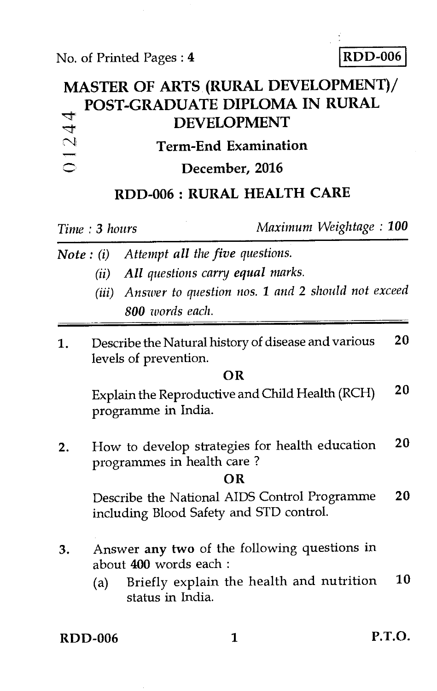No. of Printed Pages : 4 **RDD-006** 

## **MASTER OF ARTS (RURAL DEVELOPMENT)/ POST-GRADUATE DIPLOMA IN RURAL**  01244 **7t. DEVELOPMENT Term-End Examination December, 2016 RDD-006 : RURAL HEALTH CARE**

*Time : 3 hours Maximum Weightage : 100* 

- *Note : (i) Attempt all the five questions.* 
	- *(ii) All questions carry equal marks.*
	- *(iii) Answer to question nos. 1 and* 2 *should not exceed 800 words each.*
- 1. Describe the Natural history of disease and various **20**  levels of prevention.

#### **OR**

Explain the Reproductive and Child Health (RCH) **20**  programme in India.

2. How to develop strategies for health education **20**  programmes in health care ?

### **OR**

Describe the National AIDS Control Programme **20**  including Blood Safety and STD control.

- 3. Answer **any two** of the following questions in about **400** words each :
	- (a) Briefly explain the health and nutrition **10**  status in India.

**RDD-006 1 P.T.O.**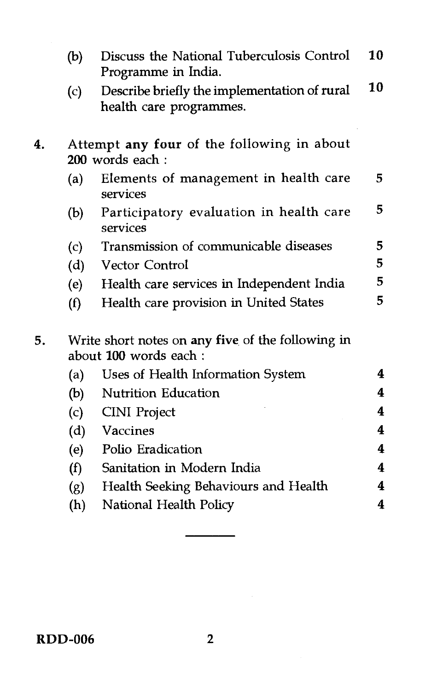|    | (b)                                                                        | Discuss the National Tuberculosis Control<br>Programme in India.        |    |  |  |
|----|----------------------------------------------------------------------------|-------------------------------------------------------------------------|----|--|--|
|    | (c)                                                                        | Describe briefly the implementation of rural<br>health care programmes. |    |  |  |
| 4. | Attempt any four of the following in about<br>200 words each:              |                                                                         |    |  |  |
|    | (a)                                                                        | Elements of management in health care<br>services                       | 5. |  |  |
|    | (b)                                                                        | Participatory evaluation in health care<br>services                     | 5  |  |  |
|    | (c)                                                                        | Transmission of communicable diseases                                   | 5  |  |  |
|    | (d)                                                                        | <b>Vector Control</b>                                                   | 5  |  |  |
|    | (e)                                                                        | Health care services in Independent India                               | 5  |  |  |
|    | (f)                                                                        | Health care provision in United States                                  | 5  |  |  |
| 5. | Write short notes on any five of the following in<br>about 100 words each: |                                                                         |    |  |  |
|    | (a)                                                                        | Uses of Health Information System                                       | 4  |  |  |
|    | (b)                                                                        | <b>Nutrition Education</b>                                              | 4  |  |  |
|    | (c)                                                                        | <b>CINI</b> Project                                                     | 4  |  |  |
|    | (d)                                                                        | Vaccines                                                                | 4  |  |  |
|    | (e)                                                                        | Polio Eradication                                                       | 4  |  |  |
|    | (f)                                                                        | Sanitation in Modern India                                              | 4  |  |  |
|    | (g)                                                                        | Health Seeking Behaviours and Health                                    | 4  |  |  |
|    | (h)                                                                        | National Health Policy                                                  | 4  |  |  |
|    |                                                                            |                                                                         |    |  |  |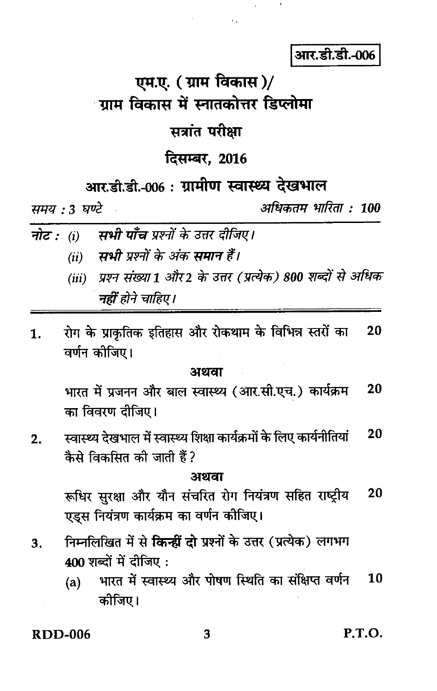आर.डी.डी.-006

# एम.ए. (ग्राम विकास)/ ्गाम विकास में स्नातकोत्तर डिप्लोमा

## सत्रांत परीक्षा

## दिसम्बर, 2016

## आर.डी.डी.-006 : ग्रामीण स्वास्थ्य देखभाल

समय : 3 घण्टे

अधिकतम भारिता : 100

- नोट :  $(i)$ सभी पाँच प्रश्नों के उत्तर दीजिए।
	- (ii) सभी प्रश्नों के अंक समान हैं।
	- (iii) प्रश्न संख्या 1 और 2 के उत्तर (प्रत्येक) 800 शब्दों से अधिक नहीं होने चाहिए।
- रोग के प्राकृतिक इतिहास और रोकथाम के विभिन्न स्तरों का 20 1. वर्णन कीजिए।

#### अथवा

भारत में प्रजनन और बाल स्वास्थ्य (आर.सी.एच.) कार्यक्रम 20 का विवरण दीजिए।

20 स्वास्थ्य देखभाल में स्वास्थ्य शिक्षा कार्यक्रमों के लिए कार्यनीतियां  $2.$ कैसे विकसित की जाती हैं ?

#### अथवा

20 रूधिर सुरक्षा और यौन संचरित रोग नियंत्रण सहित राष्ट्रीय एड्स नियंत्रण कार्यक्रम का वर्णन कीजिए।

- निम्नलिखित में से किन्हीं दो प्रश्नों के उत्तर (प्रत्येक) लगभग 3. 400 शब्दों में दीजिए:
	- भारत में स्वास्थ्य और पोषण स्थिति का संक्षिप्त वर्णन 10  $(a)$ कोजिए।

 $RDD-006$ 

P.T.O.